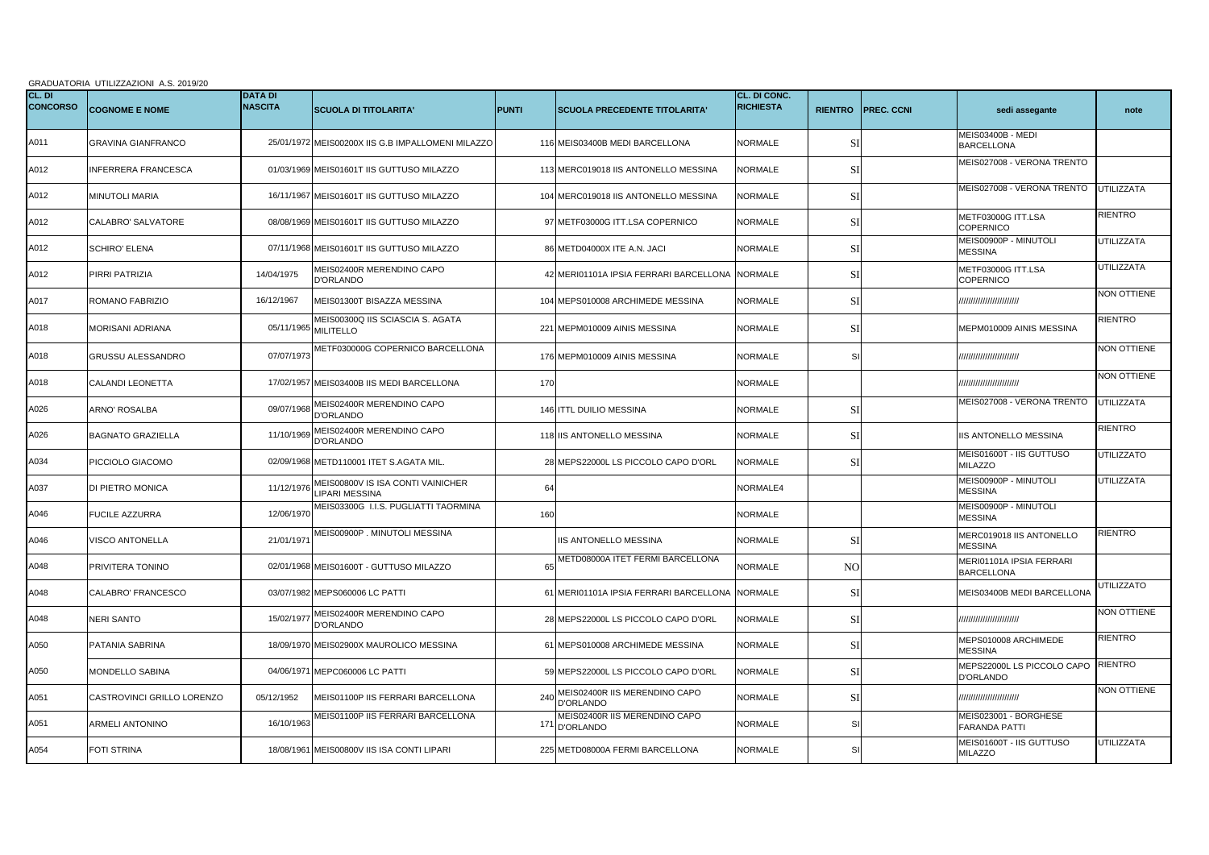|                           | GRADUATORIA UTILIZZAZIONI A.S. 2019/20 |                                  |                                                            |              |                                                   |                                  |                |                   |                                                |                    |  |  |
|---------------------------|----------------------------------------|----------------------------------|------------------------------------------------------------|--------------|---------------------------------------------------|----------------------------------|----------------|-------------------|------------------------------------------------|--------------------|--|--|
| CL. DI<br><b>CONCORSO</b> | <b>COGNOME E NOME</b>                  | <b>DATA DI</b><br><b>NASCITA</b> | <b>SCUOLA DI TITOLARITA'</b>                               | <b>PUNTI</b> | SCUOLA PRECEDENTE TITOLARITA'                     | CL. DI CONC.<br><b>RICHIESTA</b> | <b>RIENTRO</b> | <b>PREC. CCNI</b> | sedi assegante                                 | note               |  |  |
| A011                      | <b>GRAVINA GIANFRANCO</b>              |                                  | 25/01/1972 MEIS00200X IIS G.B IMPALLOMENI MILAZZO          |              | 116 MEIS03400B MEDI BARCELLONA                    | NORMALE                          | SI             |                   | <b>MEIS03400B - MEDI</b><br><b>BARCELLONA</b>  |                    |  |  |
| A012                      | <b>INFERRERA FRANCESCA</b>             |                                  | 01/03/1969 MEIS01601T IIS GUTTUSO MILAZZO                  |              | 113 MERC019018 IIS ANTONELLO MESSINA              | <b>NORMALE</b>                   | <b>SI</b>      |                   | MEIS027008 - VERONA TRENTO                     |                    |  |  |
| A012                      | <b>MINUTOLI MARIA</b>                  |                                  | 16/11/1967 MEIS01601T IIS GUTTUSO MILAZZO                  |              | 104 MERC019018 IIS ANTONELLO MESSINA              | <b>NORMALE</b>                   | SI             |                   | MEIS027008 - VERONA TRENTO                     | UTILIZZATA         |  |  |
| A012                      | CALABRO' SALVATORE                     |                                  | 08/08/1969 MEIS01601T IIS GUTTUSO MILAZZO                  |              | 97 METF03000G ITT.LSA COPERNICO                   | <b>NORMALE</b>                   | SI             |                   | METF03000G ITT.LSA<br><b>COPERNICO</b>         | RIENTRO            |  |  |
| A012                      | <b>SCHIRO' ELENA</b>                   |                                  | 07/11/1968 MEIS01601T IIS GUTTUSO MILAZZO                  |              | 86 METD04000X ITE A.N. JACI                       | <b>NORMALE</b>                   | SI             |                   | MEIS00900P - MINUTOLI<br><b>MESSINA</b>        | <b>UTILIZZATA</b>  |  |  |
| A012                      | PIRRI PATRIZIA                         | 14/04/1975                       | MEIS02400R MERENDINO CAPO<br>D'ORLANDO                     |              | 42 MERI01101A IPSIA FERRARI BARCELLONA            | <b>NORMALE</b>                   | <b>SI</b>      |                   | <b>METF03000G ITT.LSA</b><br><b>COPERNICO</b>  | UTILIZZATA         |  |  |
| A017                      | ROMANO FABRIZIO                        | 16/12/1967                       | MEIS01300T BISAZZA MESSINA                                 | 104          | MEPS010008 ARCHIMEDE MESSINA                      | <b>NORMALE</b>                   | SI             |                   | ,,,,,,,,,,,,,,,,,,,,,,,                        | <b>NON OTTIENE</b> |  |  |
| A018                      | <b>MORISANI ADRIANA</b>                |                                  | MEIS00300Q IIS SCIASCIA S. AGATA<br>05/11/1965 MILITELLO   | 221          | MEPM010009 AINIS MESSINA                          | <b>NORMALE</b>                   | SI             |                   | MEPM010009 AINIS MESSINA                       | RIENTRO            |  |  |
| A018                      | <b>GRUSSU ALESSANDRO</b>               | 07/07/1973                       | METF030000G COPERNICO BARCELLONA                           |              | 176 MEPM010009 AINIS MESSINA                      | NORMALE                          | SI             |                   | ,,,,,,,,,,,,,,,,,,,,,,,                        | <b>NON OTTIENE</b> |  |  |
| A018                      | CALANDI LEONETTA                       | 17/02/1957                       | MEIS03400B IIS MEDI BARCELLONA                             | 170          |                                                   | <b>NORMALE</b>                   |                |                   | ,,,,,,,,,,,,,,,,,,,,,,,                        | NON OTTIENE        |  |  |
| A026                      | ARNO' ROSALBA                          | 09/07/196                        | MEIS02400R MERENDINO CAPO<br>D'ORLANDO                     |              | 146 ITTL DUILIO MESSINA                           | <b>NORMALE</b>                   | <b>SI</b>      |                   | MEIS027008 - VERONA TRENTO                     | <b>UTILIZZATA</b>  |  |  |
| A026                      | <b>BAGNATO GRAZIELLA</b>               | 11/10/196                        | MEIS02400R MERENDINO CAPO<br><b>D'ORLANDO</b>              |              | 118 IIS ANTONELLO MESSINA                         | <b>NORMALE</b>                   | SI             |                   | <b>IIS ANTONELLO MESSINA</b>                   | RIENTRO            |  |  |
| A034                      | PICCIOLO GIACOMO                       |                                  | 02/09/1968 METD110001 ITET S.AGATA MIL.                    |              | 28 MEPS22000L LS PICCOLO CAPO D'ORL               | <b>NORMALE</b>                   | SI             |                   | MEIS01600T - IIS GUTTUSO<br><b>MILAZZO</b>     | <b>UTILIZZATO</b>  |  |  |
| A037                      | DI PIETRO MONICA                       | 11/12/197                        | MEIS00800V IS ISA CONTI VAINICHER<br><b>LIPARI MESSINA</b> | 64           |                                                   | NORMALE4                         |                |                   | <b>MEIS00900P - MINUTOLI</b><br><b>MESSINA</b> | UTILIZZATA         |  |  |
| A046                      | FUCILE AZZURRA                         | 12/06/197                        | MEIS03300G I.I.S. PUGLIATTI TAORMINA                       | 160          |                                                   | <b>NORMALE</b>                   |                |                   | MEIS00900P - MINUTOLI<br><b>MESSINA</b>        |                    |  |  |
| A046                      | VISCO ANTONELLA                        | 21/01/197                        | MEIS00900P. MINUTOLI MESSINA                               |              | IIS ANTONELLO MESSINA                             | <b>NORMALE</b>                   | <b>SI</b>      |                   | MERC019018 IIS ANTONELLO<br><b>MESSINA</b>     | <b>RIENTRO</b>     |  |  |
| A048                      | PRIVITERA TONINO                       |                                  | 02/01/1968 MEIS01600T - GUTTUSO MILAZZO                    | 65           | METD08000A ITET FERMI BARCELLONA                  | <b>NORMALE</b>                   | N <sub>O</sub> |                   | MERI01101A IPSIA FERRARI<br><b>BARCELLONA</b>  |                    |  |  |
| A048                      | CALABRO' FRANCESCO                     |                                  | 03/07/1982 MEPS060006 LC PATTI                             | 61           | MERI01101A IPSIA FERRARI BARCELLONA               | <b>NORMALE</b>                   | SI             |                   | MEIS03400B MEDI BARCELLONA                     | <b>UTILIZZATO</b>  |  |  |
| A048                      | NERI SANTO                             | 15/02/197                        | MEIS02400R MERENDINO CAPO<br><b>D'ORLANDO</b>              |              | 28 MEPS22000L LS PICCOLO CAPO D'ORL               | NORMALE                          | SI             |                   | ,,,,,,,,,,,,,,,,,,,,,,,                        | NON OTTIENE        |  |  |
| A050                      | PATANIA SABRINA                        | 18/09/1970                       | MEIS02900X MAUROLICO MESSINA                               |              | 61 MEPS010008 ARCHIMEDE MESSINA                   | <b>NORMALE</b>                   | SI             |                   | MEPS010008 ARCHIMEDE<br><b>MESSINA</b>         | RIENTRO            |  |  |
| A050                      | MONDELLO SABINA                        | 04/06/197                        | MEPC060006 LC PATTI                                        |              | 59 MEPS22000L LS PICCOLO CAPO D'ORL               | <b>NORMALE</b>                   | SI             |                   | MEPS22000L LS PICCOLO CAPO<br><b>D'ORLANDO</b> | RIENTRO            |  |  |
| A051                      | CASTROVINCI GRILLO LORENZO             | 05/12/1952                       | MEIS01100P IIS FERRARI BARCELLONA                          | 240          | MEIS02400R IIS MERENDINO CAPO<br><b>D'ORLANDO</b> | <b>NORMALE</b>                   | SI             |                   | ,,,,,,,,,,,,,,,,,,,,,,,                        | <b>NON OTTIENE</b> |  |  |
| A051                      | ARMELI ANTONINO                        | 16/10/1963                       | MEIS01100P IIS FERRARI BARCELLONA                          | 171          | MEIS02400R IIS MERENDINO CAPO<br>D'ORLANDO        | <b>NORMALE</b>                   | SI             |                   | MEIS023001 - BORGHESE<br>FARANDA PATTI         |                    |  |  |
| A054                      | FOTI STRINA                            |                                  | 18/08/1961 MEIS00800V IIS ISA CONTI LIPARI                 | 225          | METD08000A FERMI BARCELLONA                       | NORMALE                          | SI             |                   | MEIS01600T - IIS GUTTUSO<br>MILAZZO            | UTILIZZATA         |  |  |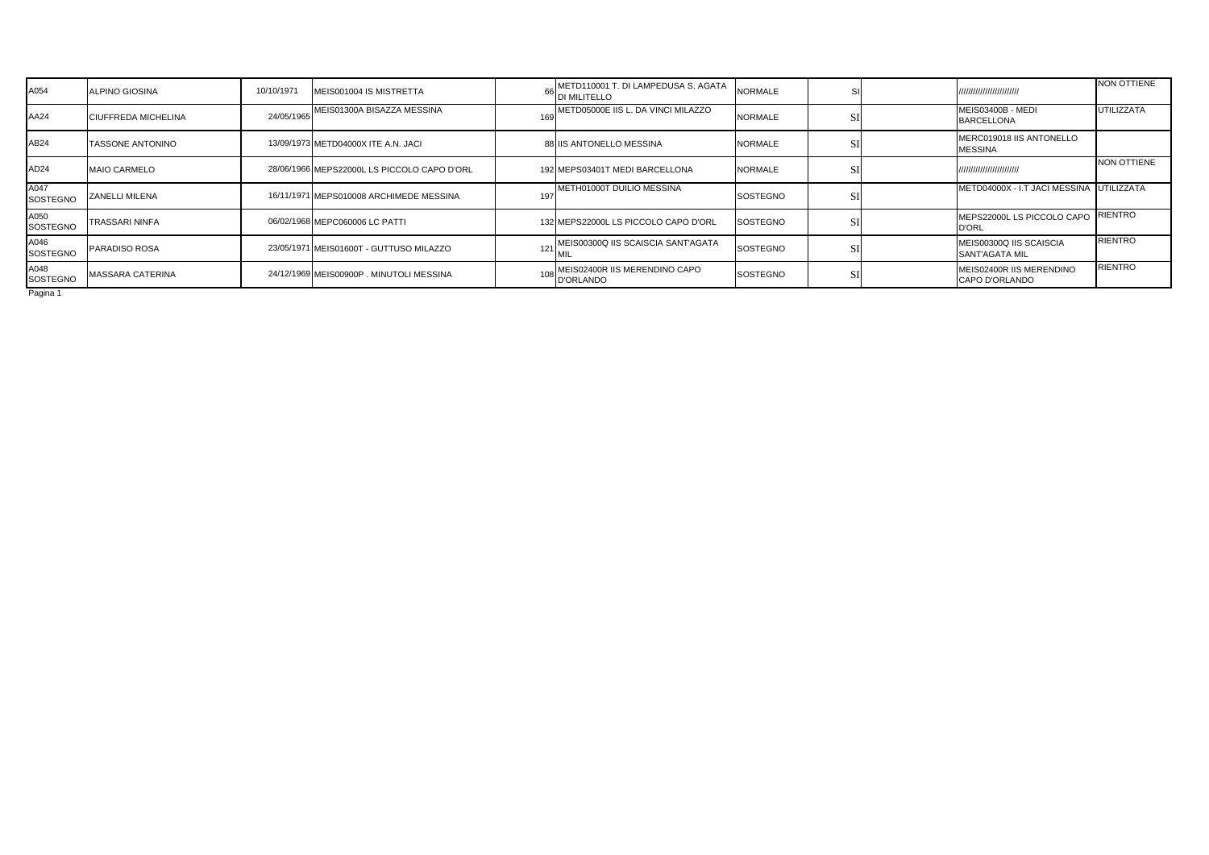| A054                    | <b>ALPINO GIOSINA</b>      | 10/10/1971 | MEIS001004 IS MISTRETTA                     |     | METD110001 T. DI LAMPEDUSA S. AGATA<br>DI MILITELLO | <b>NORMALE</b>  | S.           | ,,,,,,,,,,,,,,,,,,,,,,,,                         | NON OTTIENE       |
|-------------------------|----------------------------|------------|---------------------------------------------|-----|-----------------------------------------------------|-----------------|--------------|--------------------------------------------------|-------------------|
| AA24                    | <b>CIUFFREDA MICHELINA</b> | 24/05/1965 | MEIS01300A BISAZZA MESSINA                  | 169 | METD05000E IIS L. DA VINCI MILAZZO                  | <b>NORMALE</b>  |              | MEIS03400B - MEDI<br><b>BARCELLONA</b>           | <b>UTILIZZATA</b> |
| AB24                    | <b>TASSONE ANTONINO</b>    |            | 13/09/1973 METD04000X ITE A.N. JACI         |     | 88 IIS ANTONELLO MESSINA                            | <b>NORMALE</b>  |              | MERC019018 IIS ANTONELLO<br><b>MESSINA</b>       |                   |
| AD24                    | <b>MAIO CARMELO</b>        |            | 28/06/1966 MEPS22000L LS PICCOLO CAPO D'ORL |     | 192 MEPS03401T MEDI BARCELLONA                      | <b>NORMALE</b>  | $\mathbf{C}$ | ,,,,,,,,,,,,,,,,,,,,,,,,                         | NON OTTIENE       |
| A047<br><b>SOSTEGNO</b> | <b>ZANELLI MILENA</b>      |            | 16/11/1971 MEPS010008 ARCHIMEDE MESSINA     | 197 | METH01000T DUILIO MESSINA                           | <b>SOSTEGNO</b> | S1           | METD04000X - I.T JACI MESSINA UTILIZZATA         |                   |
| A050<br><b>SOSTEGNO</b> | <b>TRASSARI NINFA</b>      |            | 06/02/1968 MEPC060006 LC PATTL              |     | 132 MEPS22000L LS PICCOLO CAPO D'ORL                | <b>SOSTEGNO</b> | $\mathbf{C}$ | MEPS22000L LS PICCOLO CAPO<br><b>D'ORL</b>       | <b>RIENTRO</b>    |
| A046<br><b>SOSTEGNO</b> | <b>PARADISO ROSA</b>       |            | 23/05/1971 MEIS01600T - GUTTUSO MILAZZO     | 121 | MEIS00300Q IIS SCAISCIA SANT'AGATA                  | <b>SOSTEGNO</b> | C1           | MEIS00300Q IIS SCAISCIA<br><b>SANT'AGATA MIL</b> | <b>RIENTRO</b>    |
| A048<br><b>SOSTEGNO</b> | <b>MASSARA CATERINA</b>    |            | 24/12/1969 MEIS00900P, MINUTOLI MESSINA     |     | MEIS02400R IIS MERENDINO CAPO<br><b>D'ORLANDO</b>   | <b>SOSTEGNO</b> | C1           | MEIS02400R IIS MERENDINO<br>CAPO D'ORLANDO       | <b>RIENTRO</b>    |
| $D = 1$                 |                            |            |                                             |     |                                                     |                 |              |                                                  |                   |

Pagina 1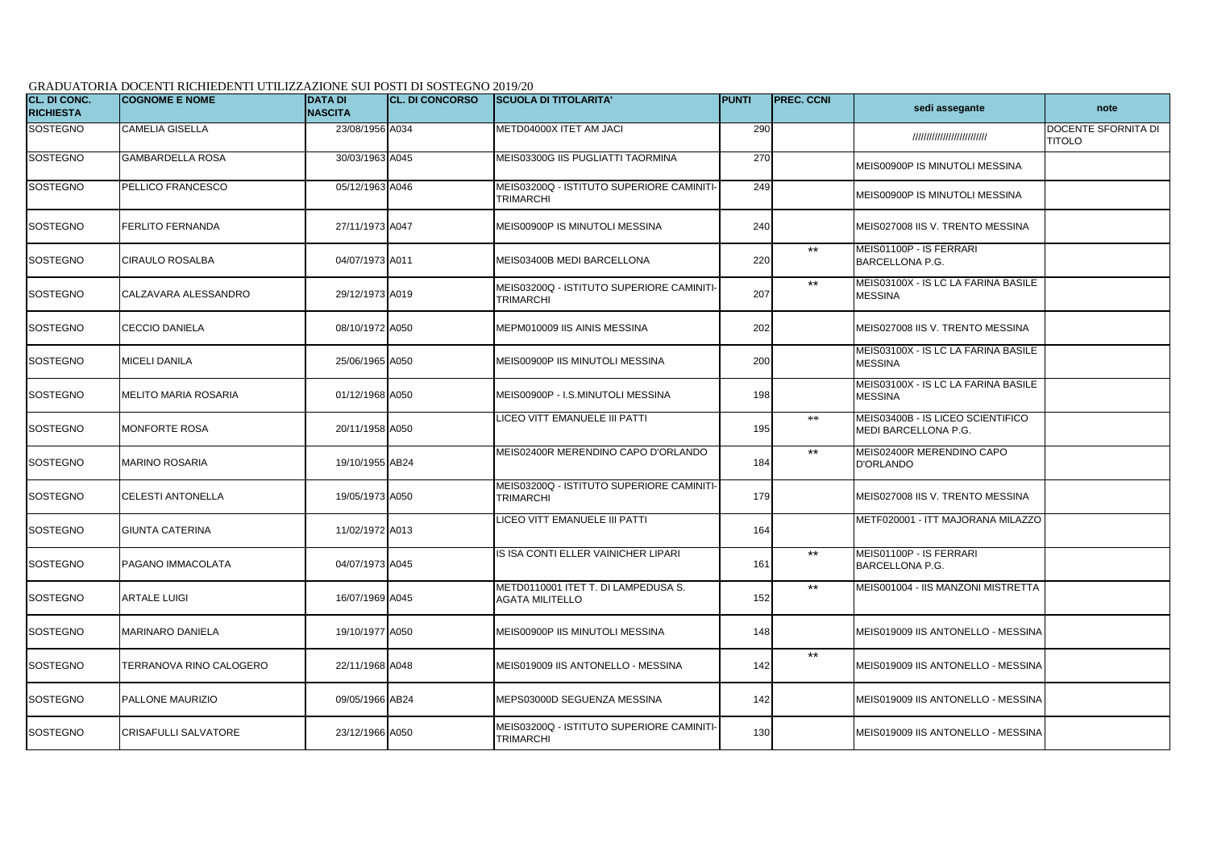## GRADUATORIA DOCENTI RICHIEDENTI UTILIZZAZIONE SUI POSTI DI SOSTEGNO 2019/20

| CL. DI CONC.<br><b>RICHIESTA</b> | <b>COGNOME E NOME</b>   | <b>DATA DI</b><br><b>NASCITA</b> | <b>CL. DI CONCORSO</b> | <b>SCUOLA DI TITOLARITA'</b>                                  | <b>IPUNTI</b> | <b>PREC. CCNI</b> | sedi assegante                                            | note                                 |
|----------------------------------|-------------------------|----------------------------------|------------------------|---------------------------------------------------------------|---------------|-------------------|-----------------------------------------------------------|--------------------------------------|
| <b>SOSTEGNO</b>                  | CAMELIA GISELLA         | 23/08/1956 A034                  |                        | METD04000X ITET AM JACI                                       | 290           |                   | ///////////////////////////                               | DOCENTE SFORNITA DI<br><b>TITOLO</b> |
| <b>SOSTEGNO</b>                  | <b>GAMBARDELLA ROSA</b> | 30/03/1963 A045                  |                        | MEIS03300G IIS PUGLIATTI TAORMINA                             | 270           |                   | MEIS00900P IS MINUTOLI MESSINA                            |                                      |
| SOSTEGNO                         | PELLICO FRANCESCO       | 05/12/1963 A046                  |                        | MEIS03200Q - ISTITUTO SUPERIORE CAMINITI-<br><b>TRIMARCHI</b> | 249           |                   | MEIS00900P IS MINUTOLI MESSINA                            |                                      |
| SOSTEGNO                         | <b>FERLITO FERNANDA</b> | 27/11/1973 A047                  |                        | MEIS00900P IS MINUTOLI MESSINA                                | 240           |                   | MEIS027008 IIS V. TRENTO MESSINA                          |                                      |
| <b>SOSTEGNO</b>                  | CIRAULO ROSALBA         | 04/07/1973 A011                  |                        | MEIS03400B MEDI BARCELLONA                                    | 220           | $***$             | MEIS01100P - IS FERRARI<br><b>BARCELLONA P.G.</b>         |                                      |
| <b>SOSTEGNO</b>                  | CALZAVARA ALESSANDRO    | 29/12/1973 A019                  |                        | MEIS03200Q - ISTITUTO SUPERIORE CAMINITI-<br>TRIMARCHI        | 207           | $***$             | MEIS03100X - IS LC LA FARINA BASILE<br><b>MESSINA</b>     |                                      |
| SOSTEGNO                         | <b>CECCIO DANIELA</b>   | 08/10/1972 A050                  |                        | MEPM010009 IIS AINIS MESSINA                                  | 202           |                   | MEIS027008 IIS V. TRENTO MESSINA                          |                                      |
| <b>SOSTEGNO</b>                  | <b>MICELI DANILA</b>    | 25/06/1965 A050                  |                        | MEIS00900P IIS MINUTOLI MESSINA                               | 200           |                   | MEIS03100X - IS LC LA FARINA BASILE<br><b>MESSINA</b>     |                                      |
| <b>SOSTEGNO</b>                  | MELITO MARIA ROSARIA    | 01/12/1968 A050                  |                        | MEIS00900P - I.S.MINUTOLI MESSINA                             | 198           |                   | MEIS03100X - IS LC LA FARINA BASILE<br><b>MESSINA</b>     |                                      |
| <b>SOSTEGNO</b>                  | <b>MONFORTE ROSA</b>    | 20/11/1958 A050                  |                        | LICEO VITT EMANUELE III PATTI                                 | 195           | $**$              | MEIS03400B - IS LICEO SCIENTIFICO<br>MEDI BARCELLONA P.G. |                                      |
| <b>SOSTEGNO</b>                  | MARINO ROSARIA          | 19/10/1955 AB24                  |                        | MEIS02400R MERENDINO CAPO D'ORLANDO                           | 184           | $***$             | MEIS02400R MERENDINO CAPO<br><b>D'ORLANDO</b>             |                                      |
| <b>SOSTEGNO</b>                  | CELESTI ANTONELLA       | 19/05/1973 A050                  |                        | MEIS03200Q - ISTITUTO SUPERIORE CAMINITI-<br><b>TRIMARCHI</b> | 179           |                   | MEIS027008 IIS V. TRENTO MESSINA                          |                                      |
| <b>SOSTEGNO</b>                  | <b>GIUNTA CATERINA</b>  | 11/02/1972 A013                  |                        | LICEO VITT EMANUELE III PATTI                                 | 164           |                   | METF020001 - ITT MAJORANA MILAZZO                         |                                      |
| <b>SOSTEGNO</b>                  | PAGANO IMMACOLATA       | 04/07/1973 A045                  |                        | IS ISA CONTI ELLER VAINICHER LIPARI                           | 161           | $***$             | MEIS01100P - IS FERRARI<br><b>BARCELLONA P.G.</b>         |                                      |
| <b>SOSTEGNO</b>                  | ARTALE LUIGI            | 16/07/1969 A045                  |                        | METD0110001 ITET T. DI LAMPEDUSA S.<br>AGATA MILITELLO        | 152           | $***$             | MEIS001004 - IIS MANZONI MISTRETTA                        |                                      |
| <b>SOSTEGNO</b>                  | <b>MARINARO DANIELA</b> | 19/10/1977 A050                  |                        | MEIS00900P IIS MINUTOLI MESSINA                               | 148           |                   | MEIS019009 IIS ANTONELLO - MESSINA                        |                                      |
| <b>SOSTEGNO</b>                  | TERRANOVA RINO CALOGERO | 22/11/1968 A048                  |                        | MEIS019009 IIS ANTONELLO - MESSINA                            | 142           | $***$             | MEIS019009 IIS ANTONELLO - MESSINA                        |                                      |
| <b>SOSTEGNO</b>                  | PALLONE MAURIZIO        | 09/05/1966 AB24                  |                        | MEPS03000D SEGUENZA MESSINA                                   | 142           |                   | MEIS019009 IIS ANTONELLO - MESSINA                        |                                      |
| <b>SOSTEGNO</b>                  | CRISAFULLI SALVATORE    | 23/12/1966 A050                  |                        | MEIS03200Q - ISTITUTO SUPERIORE CAMINITI-<br><b>TRIMARCHI</b> | 130           |                   | MEIS019009 IIS ANTONELLO - MESSINA                        |                                      |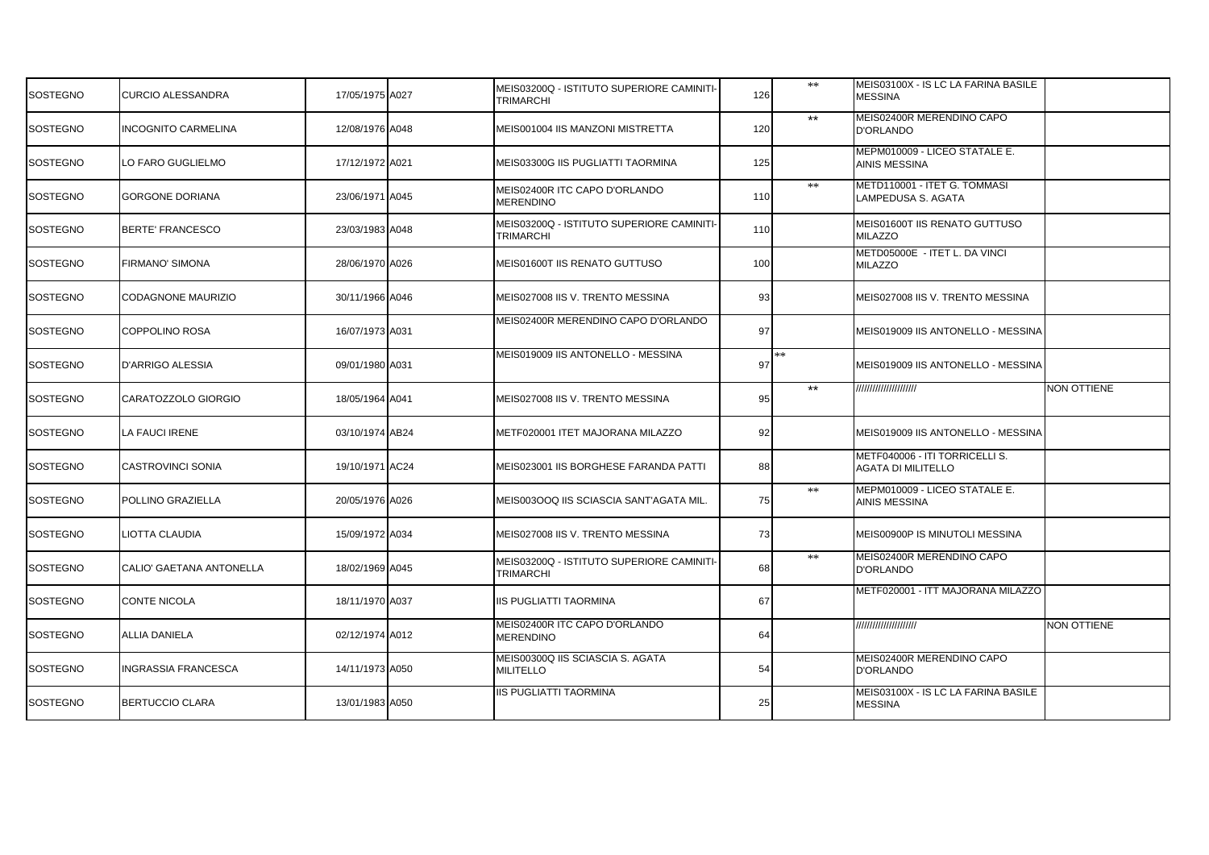| SOSTEGNO | <b>CURCIO ALESSANDRA</b>   | 17/05/1975 A027 | MEIS03200Q - ISTITUTO SUPERIORE CAMINITI-<br>TRIMARCHI | 126 | $\ast\ast$   | MEIS03100X - IS LC LA FARINA BASILE<br><b>MESSINA</b>       |                    |
|----------|----------------------------|-----------------|--------------------------------------------------------|-----|--------------|-------------------------------------------------------------|--------------------|
| SOSTEGNO | <b>INCOGNITO CARMELINA</b> | 12/08/1976 A048 | MEIS001004 IIS MANZONI MISTRETTA                       | 120 | $***$        | MEIS02400R MERENDINO CAPO<br><b>D'ORLANDO</b>               |                    |
| SOSTEGNO | LO FARO GUGLIELMO          | 17/12/1972 A021 | MEIS03300G IIS PUGLIATTI TAORMINA                      | 125 |              | MEPM010009 - LICEO STATALE E.<br>AINIS MESSINA              |                    |
| SOSTEGNO | <b>GORGONE DORIANA</b>     | 23/06/1971 A045 | MEIS02400R ITC CAPO D'ORLANDO<br>MERENDINO             | 110 | $\ast\ast$   | METD110001 - ITET G. TOMMASI<br>LAMPEDUSA S. AGATA          |                    |
| SOSTEGNO | <b>BERTE' FRANCESCO</b>    | 23/03/1983 A048 | MEIS03200Q - ISTITUTO SUPERIORE CAMINITI-<br>TRIMARCHI | 110 |              | MEIS01600T IIS RENATO GUTTUSO<br><b>MILAZZO</b>             |                    |
| SOSTEGNO | <b>FIRMANO' SIMONA</b>     | 28/06/1970 A026 | MEIS01600T IIS RENATO GUTTUSO                          | 100 |              | METD05000E - ITET L. DA VINCI<br><b>MILAZZO</b>             |                    |
| SOSTEGNO | <b>CODAGNONE MAURIZIO</b>  | 30/11/1966 A046 | MEIS027008 IIS V. TRENTO MESSINA                       | 93  |              | MEIS027008 IIS V. TRENTO MESSINA                            |                    |
| SOSTEGNO | <b>COPPOLINO ROSA</b>      | 16/07/1973 A031 | MEIS02400R MERENDINO CAPO D'ORLANDO                    | 97  |              | MEIS019009 IIS ANTONELLO - MESSINA                          |                    |
| SOSTEGNO | D'ARRIGO ALESSIA           | 09/01/1980 A031 | MEIS019009 IIS ANTONELLO - MESSINA                     | 97  | **           | MEIS019009 IIS ANTONELLO - MESSINA                          |                    |
| SOSTEGNO | CARATOZZOLO GIORGIO        | 18/05/1964 A041 | MEIS027008 IIS V. TRENTO MESSINA                       | 95  | $\star\star$ | /////////////////////                                       | <b>NON OTTIENE</b> |
| SOSTEGNO | LA FAUCI IRENE             | 03/10/1974 AB24 | METF020001 ITET MAJORANA MILAZZO                       | 92  |              | MEIS019009 IIS ANTONELLO - MESSINA                          |                    |
| SOSTEGNO | CASTROVINCI SONIA          | 19/10/1971 AC24 | MEIS023001 IIS BORGHESE FARANDA PATTI                  | 88  |              | METF040006 - ITI TORRICELLI S.<br><b>AGATA DI MILITELLO</b> |                    |
| SOSTEGNO | POLLINO GRAZIELLA          | 20/05/1976 A026 | MEIS003OOQ IIS SCIASCIA SANT'AGATA MIL.                | 75  | $\ast\ast$   | MEPM010009 - LICEO STATALE E.<br>AINIS MESSINA              |                    |
| SOSTEGNO | LIOTTA CLAUDIA             | 15/09/1972 A034 | MEIS027008 IIS V. TRENTO MESSINA                       | 73  |              | MEIS00900P IS MINUTOLI MESSINA                              |                    |
| SOSTEGNO | CALIO' GAETANA ANTONELLA   | 18/02/1969 A045 | MEIS03200Q - ISTITUTO SUPERIORE CAMINITI<br>TRIMARCHI  | 68  | $**$         | MEIS02400R MERENDINO CAPO<br><b>D'ORLANDO</b>               |                    |
| SOSTEGNO | <b>CONTE NICOLA</b>        | 18/11/1970 A037 | IIS PUGLIATTI TAORMINA                                 | 67  |              | METF020001 - ITT MAJORANA MILAZZO                           |                    |
| SOSTEGNO | <b>ALLIA DANIELA</b>       | 02/12/1974 A012 | MEIS02400R ITC CAPO D'ORLANDO<br><b>MERENDINO</b>      | 64  |              | //////////////////////                                      | <b>NON OTTIENE</b> |
| SOSTEGNO | INGRASSIA FRANCESCA        | 14/11/1973 A050 | MEIS00300Q IIS SCIASCIA S. AGATA<br><b>MILITELLO</b>   | 54  |              | MEIS02400R MERENDINO CAPO<br><b>D'ORLANDO</b>               |                    |
| SOSTEGNO | <b>BERTUCCIO CLARA</b>     | 13/01/1983 A050 | <b>IIS PUGLIATTI TAORMINA</b>                          | 25  |              | MEIS03100X - IS LC LA FARINA BASILE<br><b>MESSINA</b>       |                    |
|          |                            |                 |                                                        |     |              |                                                             |                    |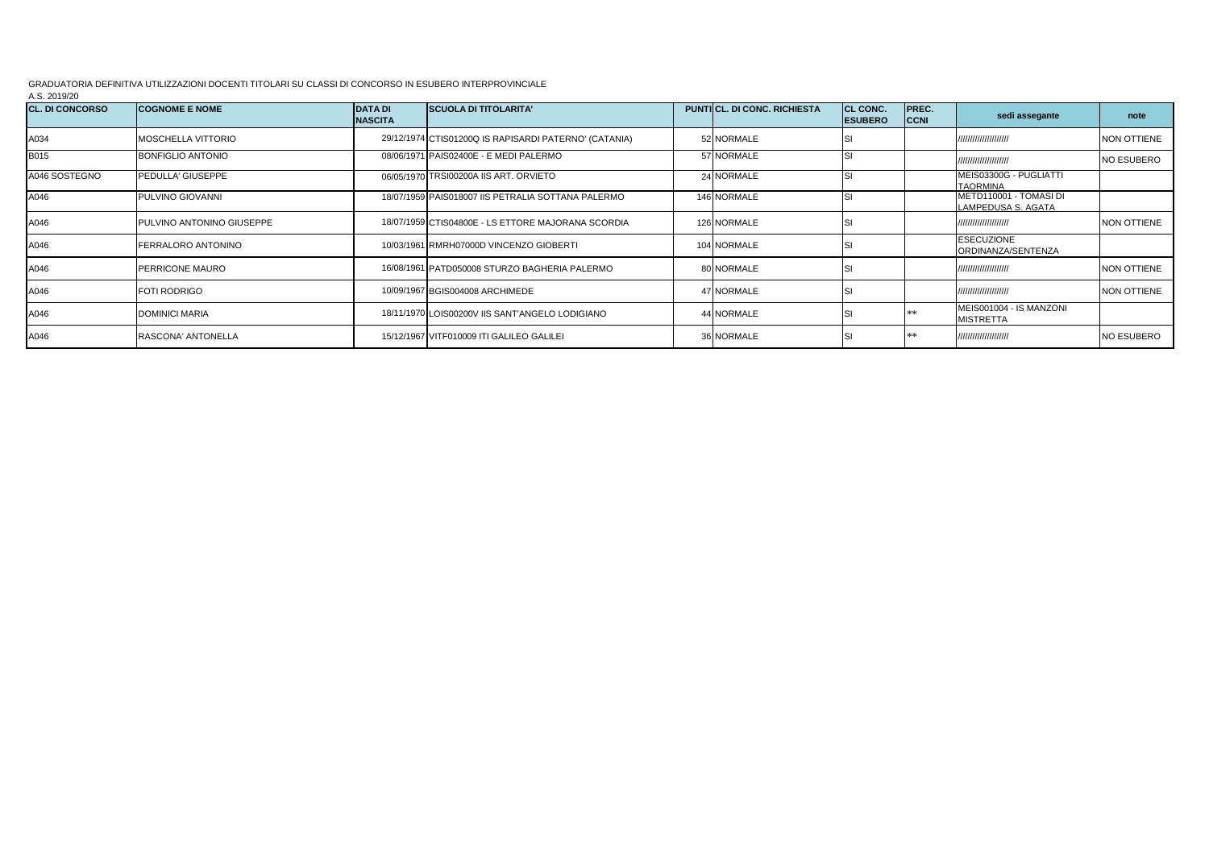GRADUATORIA DEFINITIVA UTILIZZAZIONI DOCENTI TITOLARI SU CLASSI DI CONCORSO IN ESUBERO INTERPROVINCIALE

A.S. 2019/20

| <b>CL. DI CONCORSO</b> | <b>COGNOME E NOME</b>            | <b>DATA DI</b><br><b>NASCITA</b> | <b>SCUOLA DI TITOLARITA'</b>                          | <b>PUNTICL, DI CONC. RICHIESTA</b> | CL CONC.<br><b>ESUBERO</b> | PREC.<br><b>CCNI</b> | sedi assegante                               | note               |
|------------------------|----------------------------------|----------------------------------|-------------------------------------------------------|------------------------------------|----------------------------|----------------------|----------------------------------------------|--------------------|
| A034                   | <b>MOSCHELLA VITTORIO</b>        |                                  | 29/12/1974 CTIS01200Q IS RAPISARDI PATERNO' (CATANIA) | 52 NORMALE                         |                            |                      | //////////////////////                       | NON OTTIENE        |
| B015                   | <b>BONFIGLIO ANTONIO</b>         |                                  | 08/06/1971 PAIS02400E - E MEDI PALERMO                | 57 NORMALE                         |                            |                      | //////////////////////                       | <b>NO ESUBERO</b>  |
| A046 SOSTEGNO          | PEDULLA' GIUSEPPE                |                                  | 06/05/1970 TRSI00200A IIS ART, ORVIETO                | 24 NORMALE                         |                            |                      | MEIS03300G - PUGLIATTI<br><b>TAORMINA</b>    |                    |
| A046                   | <b>PULVINO GIOVANNI</b>          |                                  | 18/07/1959 PAIS018007 IIS PETRALIA SOTTANA PALERMO    | 146 NORMALE                        |                            |                      | METD110001 - TOMASI DI<br>LAMPEDUSA S. AGATA |                    |
| A046                   | <b>PULVINO ANTONINO GIUSEPPE</b> |                                  | 18/07/1959 CTIS04800E - LS ETTORE MAJORANA SCORDIA    | 126 NORMALE                        |                            |                      | //////////////////////                       | NON OTTIENE        |
| A046                   | <b>FERRALORO ANTONINO</b>        |                                  | 10/03/1961 RMRH07000D VINCENZO GIOBERTI               | 104 NORMALE                        |                            |                      | <b>ESECUZIONE</b><br>ORDINANZA/SENTENZA      |                    |
| A046                   | <b>PERRICONE MAURO</b>           |                                  | 16/08/1961 PATD050008 STURZO BAGHERIA PALERMO         | 80 NORMALE                         |                            |                      | //////////////////////                       | <b>NON OTTIENE</b> |
| A046                   | <b>FOTI RODRIGO</b>              |                                  | 10/09/1967 BGIS004008 ARCHIMEDE                       | 47 NORMALE                         |                            |                      | //////////////////////                       | NON OTTIENE        |
| A046                   | DOMINICI MARIA                   |                                  | 18/11/1970 LOIS00200V IIS SANT'ANGELO LODIGIANO       | 44 NORMALE                         |                            |                      | MEIS001004 - IS MANZONI<br><b>MISTRETTA</b>  |                    |
| A046                   | RASCONA' ANTONELLA               |                                  | 15/12/1967 VITF010009 ITI GALILEO GALILEI             | 36 NORMALE                         |                            |                      | /////////////////////                        | <b>NO ESUBERO</b>  |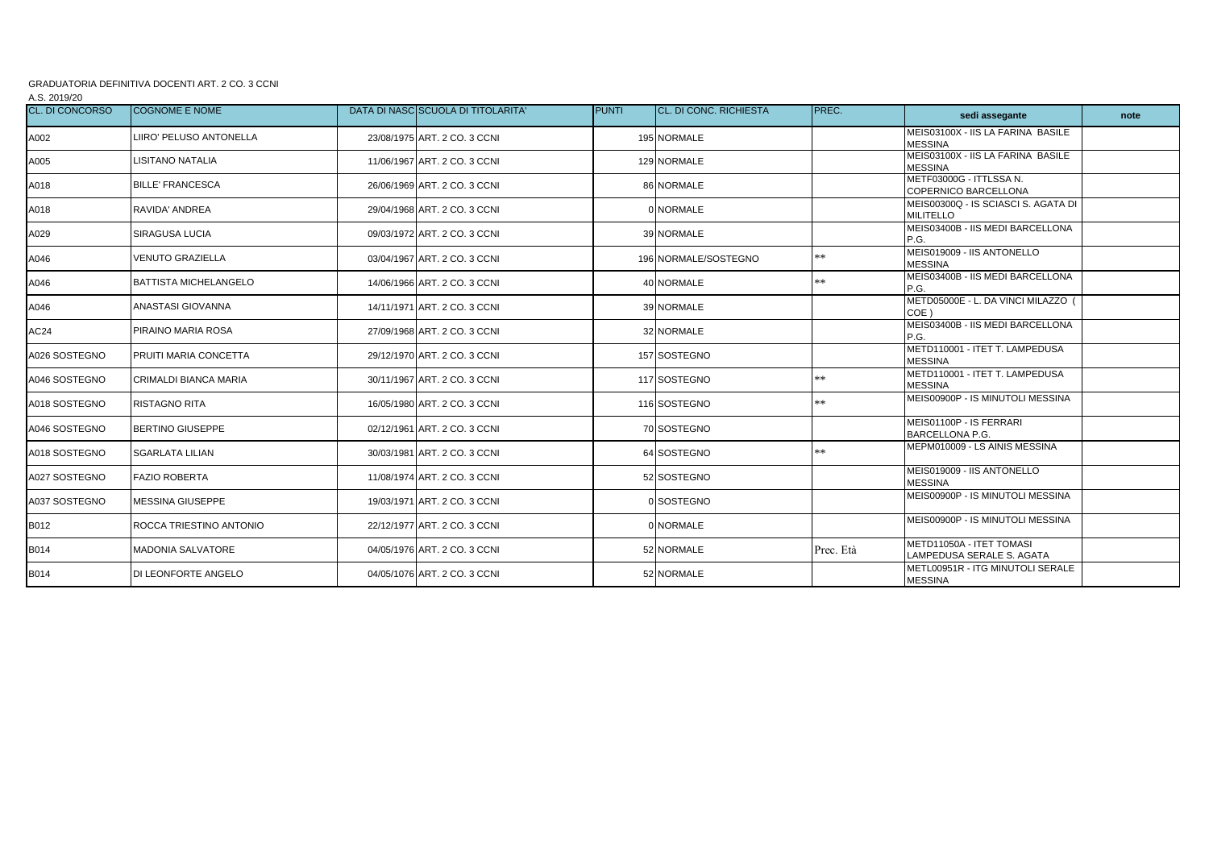## GRADUATORIA DEFINITIVA DOCENTI ART. 2 CO. 3 CCNI

A.S. 2019/20

| <b>CL. DI CONCORSO</b> | <b>COGNOME E NOME</b>        | DATA DI NASC SCUOLA DI TITOLARITA' | <b>PUNTI</b> | <b>CL. DI CONC. RICHIESTA</b> | PREC.     | sedi assegante                                          | note |
|------------------------|------------------------------|------------------------------------|--------------|-------------------------------|-----------|---------------------------------------------------------|------|
| A002                   | LIIRO' PELUSO ANTONELLA      | 23/08/1975 ART. 2 CO. 3 CCNI       |              | 195 NORMALE                   |           | MEIS03100X - IIS LA FARINA BASILE<br><b>MESSINA</b>     |      |
| A005                   | LISITANO NATALIA             | 11/06/1967 ART. 2 CO. 3 CCNI       |              | 129 NORMALE                   |           | MEIS03100X - IIS LA FARINA BASILE<br><b>MESSINA</b>     |      |
| A018                   | <b>BILLE' FRANCESCA</b>      | 26/06/1969 ART, 2 CO, 3 CCNI       |              | 86 NORMALE                    |           | METF03000G - ITTLSSA N.<br>COPERNICO BARCELLONA         |      |
| A018                   | RAVIDA' ANDREA               | 29/04/1968 ART, 2 CO, 3 CCNI       |              | 0 NORMALE                     |           | MEIS00300Q - IS SCIASCI S. AGATA DI<br><b>MILITELLO</b> |      |
| A029                   | SIRAGUSA LUCIA               | 09/03/1972 ART, 2 CO, 3 CCNI       |              | 39 NORMALE                    |           | MEIS03400B - IIS MEDI BARCELLONA<br>P.G.                |      |
| A046                   | <b>VENUTO GRAZIELLA</b>      | 03/04/1967 ART. 2 CO. 3 CCNI       |              | 196 NORMALE/SOSTEGNO          | **        | MEIS019009 - IIS ANTONELLO<br><b>MESSINA</b>            |      |
| A046                   | <b>BATTISTA MICHELANGELO</b> | 14/06/1966 ART. 2 CO. 3 CCNI       |              | 40 NORMALE                    | **        | MEIS03400B - IIS MEDI BARCELLONA<br>P.G.                |      |
| A046                   | ANASTASI GIOVANNA            | 14/11/1971 ART. 2 CO. 3 CCNI       |              | 39 NORMALE                    |           | METD05000E - L. DA VINCI MILAZZO<br>COE)                |      |
| AC24                   | PIRAINO MARIA ROSA           | 27/09/1968 ART, 2 CO, 3 CCNI       |              | 32 NORMALE                    |           | MEIS03400B - IIS MEDI BARCELLONA<br>P.G.                |      |
| A026 SOSTEGNO          | PRUITI MARIA CONCETTA        | 29/12/1970 ART, 2 CO, 3 CCNI       |              | 157 SOSTEGNO                  |           | METD110001 - ITET T. LAMPEDUSA<br><b>MESSINA</b>        |      |
| A046 SOSTEGNO          | CRIMALDI BIANCA MARIA        | 30/11/1967 ART, 2 CO, 3 CCNI       |              | 117 SOSTEGNO                  | **        | METD110001 - ITET T. LAMPEDUSA<br><b>MESSINA</b>        |      |
| A018 SOSTEGNO          | <b>RISTAGNO RITA</b>         | 16/05/1980 ART. 2 CO. 3 CCNI       |              | 116 SOSTEGNO                  | **        | MEIS00900P - IS MINUTOLI MESSINA                        |      |
| A046 SOSTEGNO          | <b>BERTINO GIUSEPPE</b>      | 02/12/1961 ART. 2 CO. 3 CCNI       |              | 70 SOSTEGNO                   |           | MEIS01100P - IS FERRARI<br><b>BARCELLONA P.G.</b>       |      |
| A018 SOSTEGNO          | <b>SGARLATA LILIAN</b>       | 30/03/1981 ART, 2 CO, 3 CCNI       |              | 64 SOSTEGNO                   | **        | MEPM010009 - LS AINIS MESSINA                           |      |
| A027 SOSTEGNO          | <b>FAZIO ROBERTA</b>         | 11/08/1974 ART, 2 CO, 3 CCNI       |              | 52 SOSTEGNO                   |           | MEIS019009 - IIS ANTONELLO<br><b>MESSINA</b>            |      |
| A037 SOSTEGNO          | <b>MESSINA GIUSEPPE</b>      | 19/03/1971 ART, 2 CO, 3 CCNI       |              | 0 SOSTEGNO                    |           | MEIS00900P - IS MINUTOLI MESSINA                        |      |
| B012                   | ROCCA TRIESTINO ANTONIO      | 22/12/1977 ART, 2 CO, 3 CCNI       |              | 0 NORMALE                     |           | MEIS00900P - IS MINUTOLI MESSINA                        |      |
| B014                   | MADONIA SALVATORE            | 04/05/1976 ART. 2 CO. 3 CCNI       |              | 52 NORMALE                    | Prec. Età | METD11050A - ITET TOMASI<br>LAMPEDUSA SERALE S. AGATA   |      |
| B014                   | DI LEONFORTE ANGELO          | 04/05/1076 ART. 2 CO. 3 CCNI       |              | 52 NORMALE                    |           | METL00951R - ITG MINUTOLI SERALE<br><b>MESSINA</b>      |      |